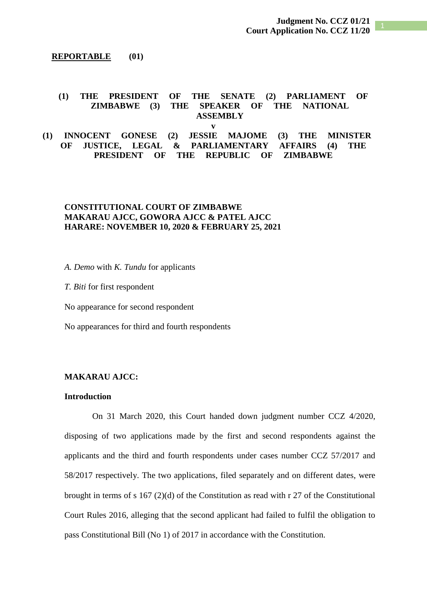### **REPORTABLE (01)**

### **(1) THE PRESIDENT OF THE SENATE (2) PARLIAMENT OF ZIMBABWE (3) THE SPEAKER OF THE NATIONAL ASSEMBLY**

**v**

# **(1) INNOCENT GONESE (2) JESSIE MAJOME (3) THE MINISTER OF JUSTICE, LEGAL & PARLIAMENTARY AFFAIRS (4) THE PRESIDENT OF THE REPUBLIC OF ZIMBABWE**

# **CONSTITUTIONAL COURT OF ZIMBABWE MAKARAU AJCC, GOWORA AJCC & PATEL AJCC HARARE: NOVEMBER 10, 2020 & FEBRUARY 25, 2021**

*A. Demo* with *K. Tundu* for applicants

*T. Biti* for first respondent

No appearance for second respondent

No appearances for third and fourth respondents

### **MAKARAU AJCC:**

# **Introduction**

On 31 March 2020, this Court handed down judgment number CCZ 4/2020, disposing of two applications made by the first and second respondents against the applicants and the third and fourth respondents under cases number CCZ 57/2017 and 58/2017 respectively. The two applications, filed separately and on different dates, were brought in terms of s 167 (2)(d) of the Constitution as read with r 27 of the Constitutional Court Rules 2016, alleging that the second applicant had failed to fulfil the obligation to pass Constitutional Bill (No 1) of 2017 in accordance with the Constitution.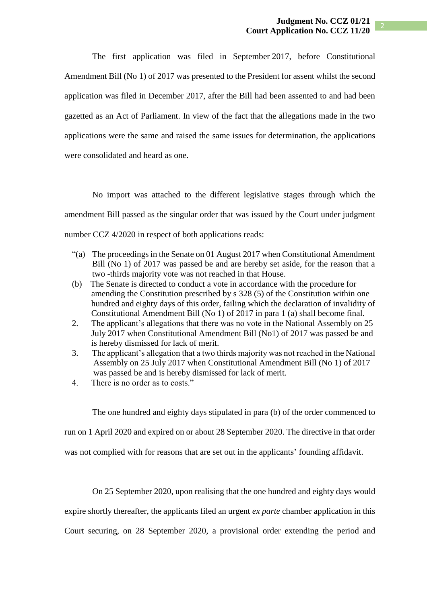The first application was filed in September 2017, before Constitutional Amendment Bill (No 1) of 2017 was presented to the President for assent whilst the second application was filed in December 2017, after the Bill had been assented to and had been gazetted as an Act of Parliament. In view of the fact that the allegations made in the two applications were the same and raised the same issues for determination, the applications were consolidated and heard as one.

No import was attached to the different legislative stages through which the amendment Bill passed as the singular order that was issued by the Court under judgment number CCZ 4/2020 in respect of both applications reads:

- "(a) The proceedings in the Senate on 01 August 2017 when Constitutional Amendment Bill (No 1) of 2017 was passed be and are hereby set aside, for the reason that a two -thirds majority vote was not reached in that House.
- (b) The Senate is directed to conduct a vote in accordance with the procedure for amending the Constitution prescribed by s 328 (5) of the Constitution within one hundred and eighty days of this order, failing which the declaration of invalidity of Constitutional Amendment Bill (No 1) of 2017 in para 1 (a) shall become final.
- 2. The applicant's allegations that there was no vote in the National Assembly on 25 July 2017 when Constitutional Amendment Bill (No1) of 2017 was passed be and is hereby dismissed for lack of merit.
- 3. The applicant's allegation that a two thirds majority was not reached in the National Assembly on 25 July 2017 when Constitutional Amendment Bill (No 1) of 2017 was passed be and is hereby dismissed for lack of merit.
- 4. There is no order as to costs."

The one hundred and eighty days stipulated in para (b) of the order commenced to

run on 1 April 2020 and expired on or about 28 September 2020. The directive in that order

was not complied with for reasons that are set out in the applicants' founding affidavit.

On 25 September 2020, upon realising that the one hundred and eighty days would expire shortly thereafter, the applicants filed an urgent *ex parte* chamber application in this Court securing, on 28 September 2020, a provisional order extending the period and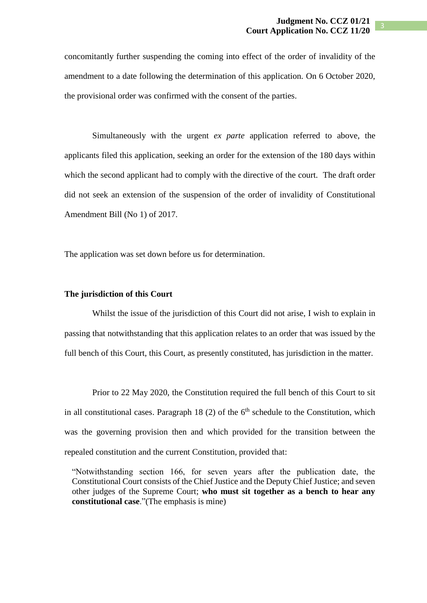concomitantly further suspending the coming into effect of the order of invalidity of the amendment to a date following the determination of this application. On 6 October 2020, the provisional order was confirmed with the consent of the parties.

Simultaneously with the urgent *ex parte* application referred to above, the applicants filed this application, seeking an order for the extension of the 180 days within which the second applicant had to comply with the directive of the court. The draft order did not seek an extension of the suspension of the order of invalidity of Constitutional Amendment Bill (No 1) of 2017.

The application was set down before us for determination.

## **The jurisdiction of this Court**

Whilst the issue of the jurisdiction of this Court did not arise, I wish to explain in passing that notwithstanding that this application relates to an order that was issued by the full bench of this Court, this Court, as presently constituted, has jurisdiction in the matter.

Prior to 22 May 2020, the Constitution required the full bench of this Court to sit in all constitutional cases. Paragraph  $18(2)$  of the  $6<sup>th</sup>$  schedule to the Constitution, which was the governing provision then and which provided for the transition between the repealed constitution and the current Constitution, provided that:

"Notwithstanding section 166, for seven years after the publication date, the Constitutional Court consists of the Chief Justice and the Deputy Chief Justice; and seven other judges of the Supreme Court; **who must sit together as a bench to hear any constitutional case**."(The emphasis is mine)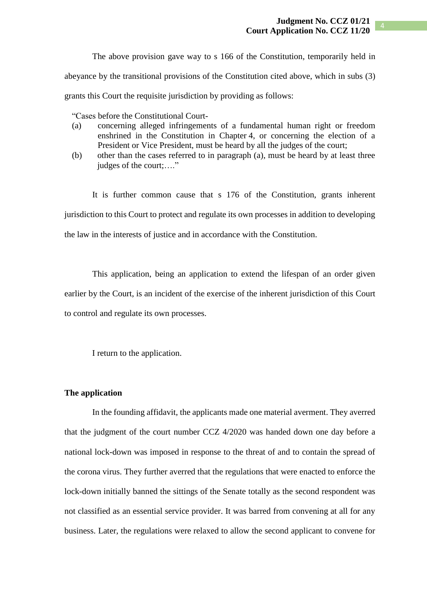The above provision gave way to s 166 of the Constitution, temporarily held in

abeyance by the transitional provisions of the Constitution cited above, which in subs (3)

grants this Court the requisite jurisdiction by providing as follows:

"Cases before the Constitutional Court-

- (a) concerning alleged infringements of a fundamental human right or freedom enshrined in the Constitution in Chapter 4, or concerning the election of a President or Vice President, must be heard by all the judges of the court;
- (b) other than the cases referred to in paragraph (a), must be heard by at least three judges of the court;...."

It is further common cause that s 176 of the Constitution, grants inherent jurisdiction to this Court to protect and regulate its own processes in addition to developing the law in the interests of justice and in accordance with the Constitution.

This application, being an application to extend the lifespan of an order given earlier by the Court, is an incident of the exercise of the inherent jurisdiction of this Court to control and regulate its own processes.

I return to the application.

#### **The application**

In the founding affidavit, the applicants made one material averment. They averred that the judgment of the court number CCZ 4/2020 was handed down one day before a national lock-down was imposed in response to the threat of and to contain the spread of the corona virus. They further averred that the regulations that were enacted to enforce the lock-down initially banned the sittings of the Senate totally as the second respondent was not classified as an essential service provider. It was barred from convening at all for any business. Later, the regulations were relaxed to allow the second applicant to convene for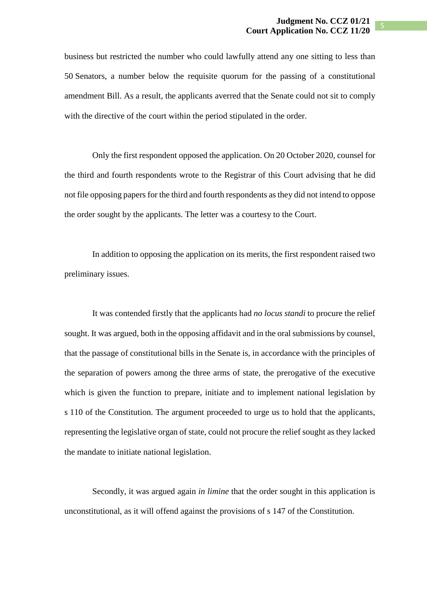business but restricted the number who could lawfully attend any one sitting to less than 50 Senators, a number below the requisite quorum for the passing of a constitutional amendment Bill. As a result, the applicants averred that the Senate could not sit to comply with the directive of the court within the period stipulated in the order.

Only the first respondent opposed the application. On 20 October 2020, counsel for the third and fourth respondents wrote to the Registrar of this Court advising that he did not file opposing papers for the third and fourth respondents as they did not intend to oppose the order sought by the applicants. The letter was a courtesy to the Court.

In addition to opposing the application on its merits, the first respondent raised two preliminary issues.

It was contended firstly that the applicants had *no locus standi* to procure the relief sought. It was argued, both in the opposing affidavit and in the oral submissions by counsel, that the passage of constitutional bills in the Senate is, in accordance with the principles of the separation of powers among the three arms of state, the prerogative of the executive which is given the function to prepare, initiate and to implement national legislation by s 110 of the Constitution. The argument proceeded to urge us to hold that the applicants, representing the legislative organ of state, could not procure the relief sought as they lacked the mandate to initiate national legislation.

Secondly, it was argued again *in limine* that the order sought in this application is unconstitutional, as it will offend against the provisions of s 147 of the Constitution.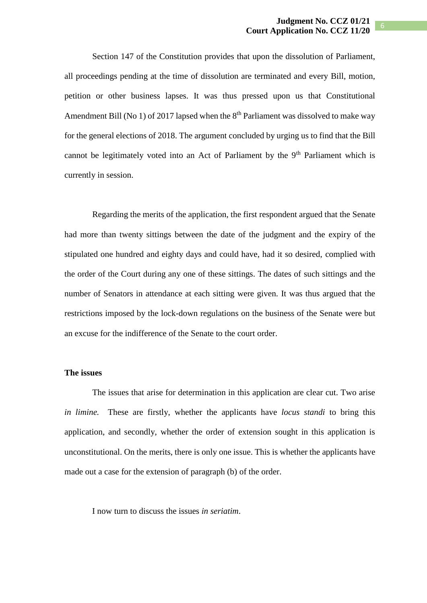Section 147 of the Constitution provides that upon the dissolution of Parliament, all proceedings pending at the time of dissolution are terminated and every Bill, motion, petition or other business lapses. It was thus pressed upon us that Constitutional Amendment Bill (No 1) of 2017 lapsed when the  $8<sup>th</sup>$  Parliament was dissolved to make way for the general elections of 2018. The argument concluded by urging us to find that the Bill cannot be legitimately voted into an Act of Parliament by the 9<sup>th</sup> Parliament which is currently in session.

Regarding the merits of the application, the first respondent argued that the Senate had more than twenty sittings between the date of the judgment and the expiry of the stipulated one hundred and eighty days and could have, had it so desired, complied with the order of the Court during any one of these sittings. The dates of such sittings and the number of Senators in attendance at each sitting were given. It was thus argued that the restrictions imposed by the lock-down regulations on the business of the Senate were but an excuse for the indifference of the Senate to the court order.

# **The issues**

The issues that arise for determination in this application are clear cut. Two arise *in limine.* These are firstly, whether the applicants have *locus standi* to bring this application, and secondly, whether the order of extension sought in this application is unconstitutional. On the merits, there is only one issue. This is whether the applicants have made out a case for the extension of paragraph (b) of the order.

I now turn to discuss the issues *in seriatim*.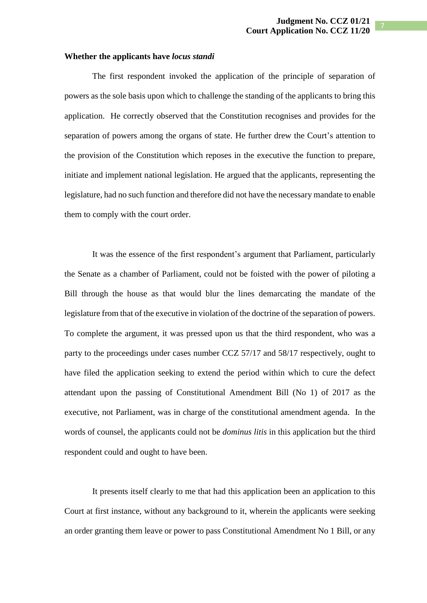#### **Whether the applicants have** *locus standi*

The first respondent invoked the application of the principle of separation of powers as the sole basis upon which to challenge the standing of the applicants to bring this application. He correctly observed that the Constitution recognises and provides for the separation of powers among the organs of state. He further drew the Court's attention to the provision of the Constitution which reposes in the executive the function to prepare, initiate and implement national legislation. He argued that the applicants, representing the legislature, had no such function and therefore did not have the necessary mandate to enable them to comply with the court order.

It was the essence of the first respondent's argument that Parliament, particularly the Senate as a chamber of Parliament, could not be foisted with the power of piloting a Bill through the house as that would blur the lines demarcating the mandate of the legislature from that of the executive in violation of the doctrine of the separation of powers. To complete the argument, it was pressed upon us that the third respondent, who was a party to the proceedings under cases number CCZ 57/17 and 58/17 respectively, ought to have filed the application seeking to extend the period within which to cure the defect attendant upon the passing of Constitutional Amendment Bill (No 1) of 2017 as the executive, not Parliament, was in charge of the constitutional amendment agenda. In the words of counsel, the applicants could not be *dominus litis* in this application but the third respondent could and ought to have been.

It presents itself clearly to me that had this application been an application to this Court at first instance, without any background to it, wherein the applicants were seeking an order granting them leave or power to pass Constitutional Amendment No 1 Bill, or any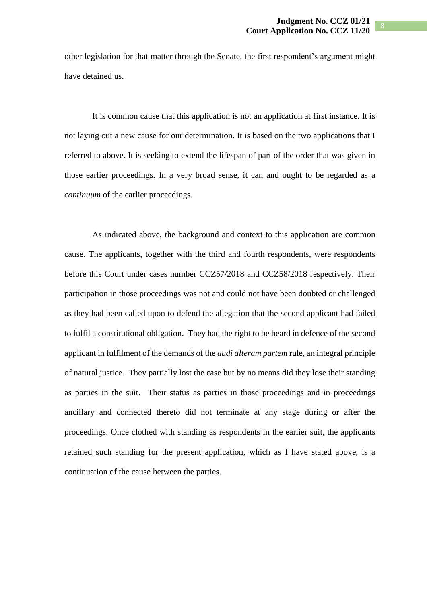other legislation for that matter through the Senate, the first respondent's argument might have detained us.

It is common cause that this application is not an application at first instance. It is not laying out a new cause for our determination. It is based on the two applications that I referred to above. It is seeking to extend the lifespan of part of the order that was given in those earlier proceedings. In a very broad sense, it can and ought to be regarded as a *continuum* of the earlier proceedings.

As indicated above, the background and context to this application are common cause. The applicants, together with the third and fourth respondents, were respondents before this Court under cases number CCZ57/2018 and CCZ58/2018 respectively. Their participation in those proceedings was not and could not have been doubted or challenged as they had been called upon to defend the allegation that the second applicant had failed to fulfil a constitutional obligation. They had the right to be heard in defence of the second applicant in fulfilment of the demands of the *audi alteram partem* rule, an integral principle of natural justice. They partially lost the case but by no means did they lose their standing as parties in the suit. Their status as parties in those proceedings and in proceedings ancillary and connected thereto did not terminate at any stage during or after the proceedings. Once clothed with standing as respondents in the earlier suit, the applicants retained such standing for the present application, which as I have stated above, is a continuation of the cause between the parties.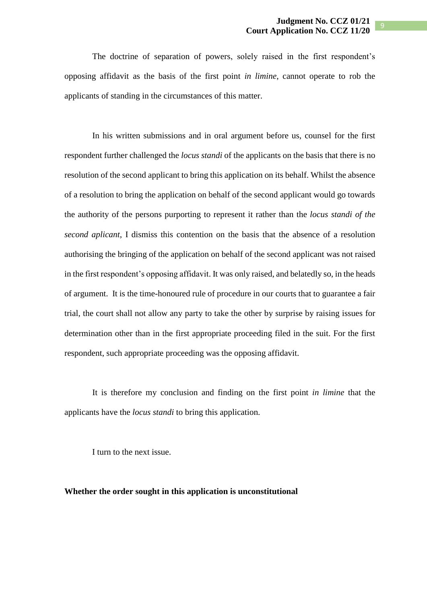9

The doctrine of separation of powers, solely raised in the first respondent's opposing affidavit as the basis of the first point *in limine*, cannot operate to rob the applicants of standing in the circumstances of this matter.

In his written submissions and in oral argument before us, counsel for the first respondent further challenged the *locus standi* of the applicants on the basis that there is no resolution of the second applicant to bring this application on its behalf. Whilst the absence of a resolution to bring the application on behalf of the second applicant would go towards the authority of the persons purporting to represent it rather than the *locus standi of the second aplicant*, I dismiss this contention on the basis that the absence of a resolution authorising the bringing of the application on behalf of the second applicant was not raised in the first respondent's opposing affidavit. It was only raised, and belatedly so, in the heads of argument. It is the time-honoured rule of procedure in our courts that to guarantee a fair trial, the court shall not allow any party to take the other by surprise by raising issues for determination other than in the first appropriate proceeding filed in the suit. For the first respondent, such appropriate proceeding was the opposing affidavit.

It is therefore my conclusion and finding on the first point *in limine* that the applicants have the *locus standi* to bring this application.

I turn to the next issue.

## **Whether the order sought in this application is unconstitutional**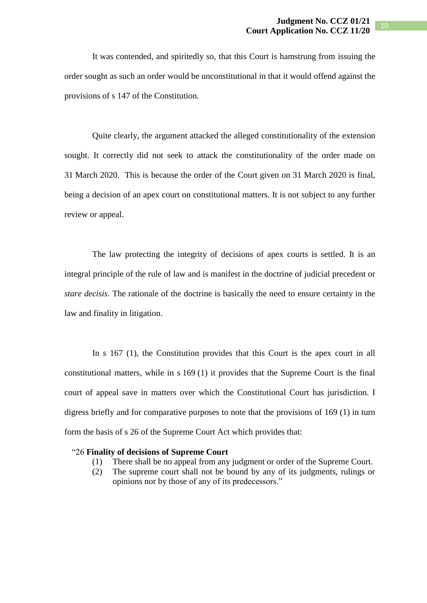It was contended, and spiritedly so, that this Court is hamstrung from issuing the order sought as such an order would be unconstitutional in that it would offend against the provisions of s 147 of the Constitution.

Quite clearly, the argument attacked the alleged constitutionality of the extension sought. It correctly did not seek to attack the constitutionality of the order made on 31 March 2020. This is because the order of the Court given on 31 March 2020 is final, being a decision of an apex court on constitutional matters. It is not subject to any further review or appeal.

The law protecting the integrity of decisions of apex courts is settled. It is an integral principle of the rule of law and is manifest in the doctrine of judicial precedent or *stare decisis*. The rationale of the doctrine is basically the need to ensure certainty in the law and finality in litigation.

In s 167 (1), the Constitution provides that this Court is the apex court in all constitutional matters, while in s 169 (1) it provides that the Supreme Court is the final court of appeal save in matters over which the Constitutional Court has jurisdiction. I digress briefly and for comparative purposes to note that the provisions of 169 (1) in turn form the basis of s 26 of the Supreme Court Act which provides that:

#### "26 **Finality of decisions of Supreme Court**

- (1) There shall be no appeal from any judgment or order of the Supreme Court.
- (2) The supreme court shall not be bound by any of its judgments, rulings or opinions nor by those of any of its predecessors."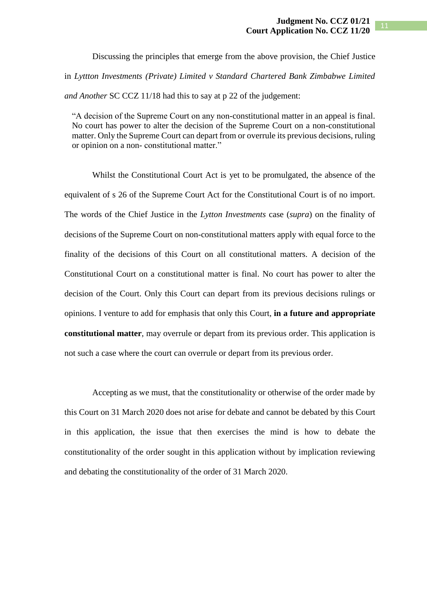Discussing the principles that emerge from the above provision, the Chief Justice in *Lyttton Investments (Private) Limited v Standard Chartered Bank Zimbabwe Limited and Another* SC CCZ 11/18 had this to say at p 22 of the judgement:

"A decision of the Supreme Court on any non-constitutional matter in an appeal is final. No court has power to alter the decision of the Supreme Court on a non-constitutional matter. Only the Supreme Court can depart from or overrule its previous decisions, ruling or opinion on a non- constitutional matter."

Whilst the Constitutional Court Act is yet to be promulgated, the absence of the equivalent of s 26 of the Supreme Court Act for the Constitutional Court is of no import. The words of the Chief Justice in the *Lytton Investments* case (*supra*) on the finality of decisions of the Supreme Court on non-constitutional matters apply with equal force to the finality of the decisions of this Court on all constitutional matters. A decision of the Constitutional Court on a constitutional matter is final. No court has power to alter the decision of the Court. Only this Court can depart from its previous decisions rulings or opinions. I venture to add for emphasis that only this Court, **in a future and appropriate constitutional matter**, may overrule or depart from its previous order. This application is not such a case where the court can overrule or depart from its previous order.

Accepting as we must, that the constitutionality or otherwise of the order made by this Court on 31 March 2020 does not arise for debate and cannot be debated by this Court in this application, the issue that then exercises the mind is how to debate the constitutionality of the order sought in this application without by implication reviewing and debating the constitutionality of the order of 31 March 2020.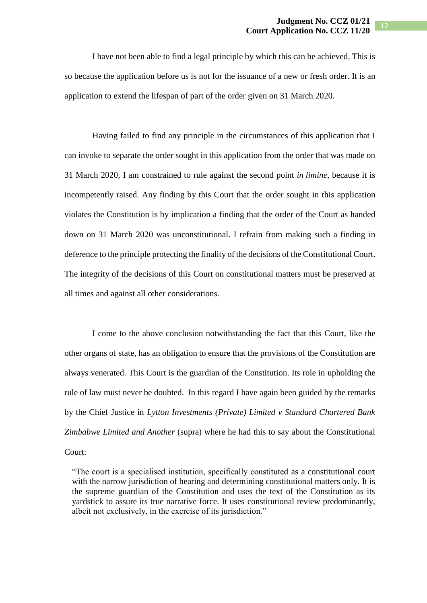I have not been able to find a legal principle by which this can be achieved. This is so because the application before us is not for the issuance of a new or fresh order. It is an application to extend the lifespan of part of the order given on 31 March 2020.

Having failed to find any principle in the circumstances of this application that I can invoke to separate the order sought in this application from the order that was made on 31 March 2020, I am constrained to rule against the second point *in limine,* because it is incompetently raised. Any finding by this Court that the order sought in this application violates the Constitution is by implication a finding that the order of the Court as handed down on 31 March 2020 was unconstitutional. I refrain from making such a finding in deference to the principle protecting the finality of the decisions of the Constitutional Court. The integrity of the decisions of this Court on constitutional matters must be preserved at all times and against all other considerations.

I come to the above conclusion notwithstanding the fact that this Court, like the other organs of state, has an obligation to ensure that the provisions of the Constitution are always venerated. This Court is the guardian of the Constitution. Its role in upholding the rule of law must never be doubted. In this regard I have again been guided by the remarks by the Chief Justice in *Lytton Investments (Private) Limited v Standard Chartered Bank Zimbabwe Limited and Another* (supra) where he had this to say about the Constitutional Court:

"The court is a specialised institution, specifically constituted as a constitutional court with the narrow jurisdiction of hearing and determining constitutional matters only. It is the supreme guardian of the Constitution and uses the text of the Constitution as its yardstick to assure its true narrative force. It uses constitutional review predominantly, albeit not exclusively, in the exercise of its jurisdiction."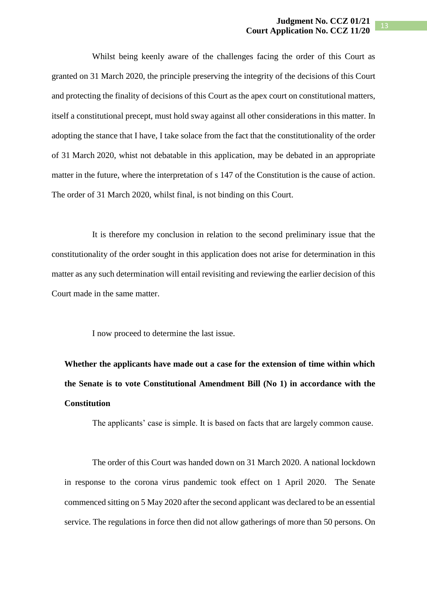Whilst being keenly aware of the challenges facing the order of this Court as granted on 31 March 2020, the principle preserving the integrity of the decisions of this Court and protecting the finality of decisions of this Court as the apex court on constitutional matters, itself a constitutional precept, must hold sway against all other considerations in this matter. In adopting the stance that I have, I take solace from the fact that the constitutionality of the order of 31 March 2020, whist not debatable in this application, may be debated in an appropriate matter in the future, where the interpretation of s 147 of the Constitution is the cause of action. The order of 31 March 2020, whilst final, is not binding on this Court.

It is therefore my conclusion in relation to the second preliminary issue that the constitutionality of the order sought in this application does not arise for determination in this matter as any such determination will entail revisiting and reviewing the earlier decision of this Court made in the same matter.

I now proceed to determine the last issue.

**Whether the applicants have made out a case for the extension of time within which the Senate is to vote Constitutional Amendment Bill (No 1) in accordance with the Constitution**

The applicants' case is simple. It is based on facts that are largely common cause.

The order of this Court was handed down on 31 March 2020. A national lockdown in response to the corona virus pandemic took effect on 1 April 2020. The Senate commenced sitting on 5 May 2020 after the second applicant was declared to be an essential service. The regulations in force then did not allow gatherings of more than 50 persons. On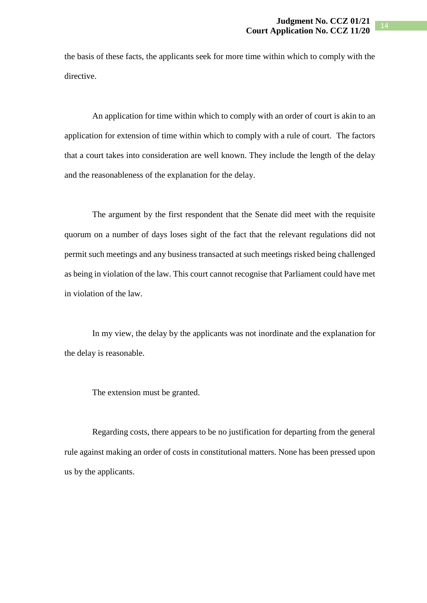the basis of these facts, the applicants seek for more time within which to comply with the directive.

An application for time within which to comply with an order of court is akin to an application for extension of time within which to comply with a rule of court. The factors that a court takes into consideration are well known. They include the length of the delay and the reasonableness of the explanation for the delay.

The argument by the first respondent that the Senate did meet with the requisite quorum on a number of days loses sight of the fact that the relevant regulations did not permit such meetings and any business transacted at such meetings risked being challenged as being in violation of the law. This court cannot recognise that Parliament could have met in violation of the law.

In my view, the delay by the applicants was not inordinate and the explanation for the delay is reasonable.

The extension must be granted.

Regarding costs, there appears to be no justification for departing from the general rule against making an order of costs in constitutional matters. None has been pressed upon us by the applicants.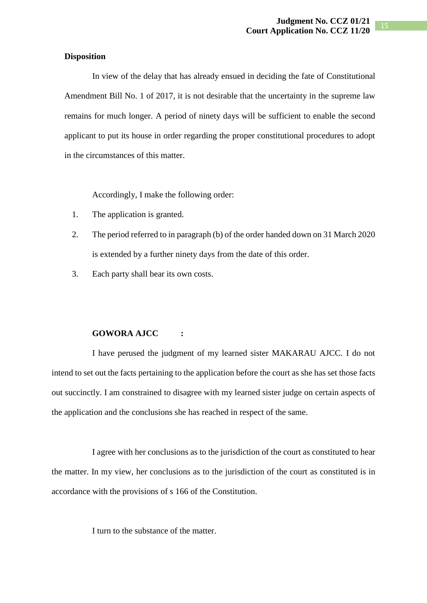# **Disposition**

In view of the delay that has already ensued in deciding the fate of Constitutional Amendment Bill No. 1 of 2017, it is not desirable that the uncertainty in the supreme law remains for much longer. A period of ninety days will be sufficient to enable the second applicant to put its house in order regarding the proper constitutional procedures to adopt in the circumstances of this matter.

Accordingly, I make the following order:

- 1. The application is granted.
- 2. The period referred to in paragraph (b) of the order handed down on 31 March 2020 is extended by a further ninety days from the date of this order.
- 3. Each party shall bear its own costs.

## **GOWORA AJCC :**

I have perused the judgment of my learned sister MAKARAU AJCC. I do not intend to set out the facts pertaining to the application before the court as she has set those facts out succinctly. I am constrained to disagree with my learned sister judge on certain aspects of the application and the conclusions she has reached in respect of the same.

I agree with her conclusions as to the jurisdiction of the court as constituted to hear the matter. In my view, her conclusions as to the jurisdiction of the court as constituted is in accordance with the provisions of s 166 of the Constitution.

I turn to the substance of the matter.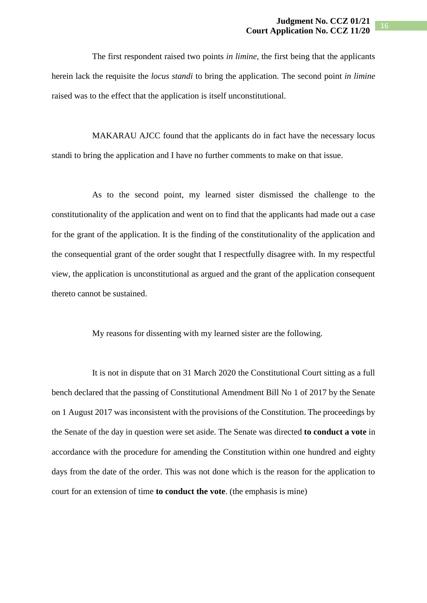The first respondent raised two points *in limine*, the first being that the applicants herein lack the requisite the *locus standi* to bring the application. The second point *in limine* raised was to the effect that the application is itself unconstitutional.

MAKARAU AJCC found that the applicants do in fact have the necessary locus standi to bring the application and I have no further comments to make on that issue.

As to the second point, my learned sister dismissed the challenge to the constitutionality of the application and went on to find that the applicants had made out a case for the grant of the application. It is the finding of the constitutionality of the application and the consequential grant of the order sought that I respectfully disagree with. In my respectful view, the application is unconstitutional as argued and the grant of the application consequent thereto cannot be sustained.

My reasons for dissenting with my learned sister are the following.

It is not in dispute that on 31 March 2020 the Constitutional Court sitting as a full bench declared that the passing of Constitutional Amendment Bill No 1 of 2017 by the Senate on 1 August 2017 was inconsistent with the provisions of the Constitution. The proceedings by the Senate of the day in question were set aside. The Senate was directed **to conduct a vote** in accordance with the procedure for amending the Constitution within one hundred and eighty days from the date of the order. This was not done which is the reason for the application to court for an extension of time **to conduct the vote**. (the emphasis is mine)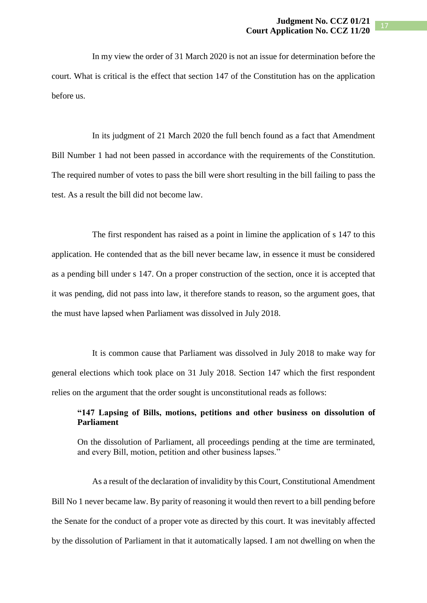In my view the order of 31 March 2020 is not an issue for determination before the court. What is critical is the effect that section 147 of the Constitution has on the application before us.

In its judgment of 21 March 2020 the full bench found as a fact that Amendment Bill Number 1 had not been passed in accordance with the requirements of the Constitution. The required number of votes to pass the bill were short resulting in the bill failing to pass the test. As a result the bill did not become law.

The first respondent has raised as a point in limine the application of s 147 to this application. He contended that as the bill never became law, in essence it must be considered as a pending bill under s 147. On a proper construction of the section, once it is accepted that it was pending, did not pass into law, it therefore stands to reason, so the argument goes, that the must have lapsed when Parliament was dissolved in July 2018.

It is common cause that Parliament was dissolved in July 2018 to make way for general elections which took place on 31 July 2018. Section 147 which the first respondent relies on the argument that the order sought is unconstitutional reads as follows:

# **"147 Lapsing of Bills, motions, petitions and other business on dissolution of Parliament**

On the dissolution of Parliament, all proceedings pending at the time are terminated, and every Bill, motion, petition and other business lapses."

As a result of the declaration of invalidity by this Court, Constitutional Amendment Bill No 1 never became law. By parity of reasoning it would then revert to a bill pending before the Senate for the conduct of a proper vote as directed by this court. It was inevitably affected by the dissolution of Parliament in that it automatically lapsed. I am not dwelling on when the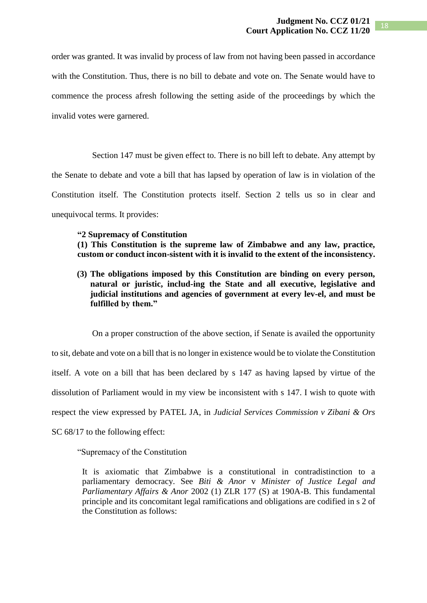order was granted. It was invalid by process of law from not having been passed in accordance with the Constitution. Thus, there is no bill to debate and vote on. The Senate would have to commence the process afresh following the setting aside of the proceedings by which the invalid votes were garnered.

Section 147 must be given effect to. There is no bill left to debate. Any attempt by the Senate to debate and vote a bill that has lapsed by operation of law is in violation of the Constitution itself. The Constitution protects itself. Section 2 tells us so in clear and unequivocal terms. It provides:

#### **"2 Supremacy of Constitution**

**(1) This Constitution is the supreme law of Zimbabwe and any law, practice, custom or conduct incon-sistent with it is invalid to the extent of the inconsistency.** 

**(3) The obligations imposed by this Constitution are binding on every person, natural or juristic, includ-ing the State and all executive, legislative and judicial institutions and agencies of government at every lev-el, and must be fulfilled by them."**

On a proper construction of the above section, if Senate is availed the opportunity to sit, debate and vote on a bill that is no longer in existence would be to violate the Constitution itself. A vote on a bill that has been declared by s 147 as having lapsed by virtue of the dissolution of Parliament would in my view be inconsistent with s 147. I wish to quote with respect the view expressed by PATEL JA, in *Judicial Services Commission v Zibani & Ors* SC  $68/17$  to the following effect:

"Supremacy of the Constitution

It is axiomatic that Zimbabwe is a constitutional in contradistinction to a parliamentary democracy. See *Biti & Anor* v *Minister of Justice Legal and Parliamentary Affairs & Anor* 2002 (1) ZLR 177 (S) at 190A-B. This fundamental principle and its concomitant legal ramifications and obligations are codified in s 2 of the Constitution as follows: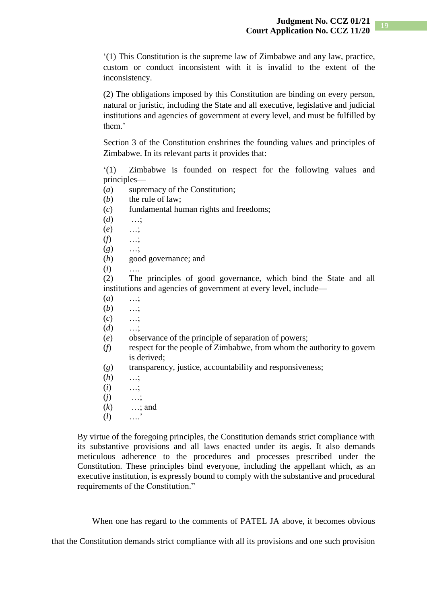'(1) This Constitution is the supreme law of Zimbabwe and any law, practice, custom or conduct inconsistent with it is invalid to the extent of the inconsistency.

(2) The obligations imposed by this Constitution are binding on every person, natural or juristic, including the State and all executive, legislative and judicial institutions and agencies of government at every level, and must be fulfilled by them.'

Section 3 of the Constitution enshrines the founding values and principles of Zimbabwe. In its relevant parts it provides that:

'(1) Zimbabwe is founded on respect for the following values and principles—

- (*a*) supremacy of the Constitution;
- (*b*) the rule of law;
- (*c*) fundamental human rights and freedoms;
- (*d*) …;
- (*e*) …;
- (*f*) …;
- (*g*) …;
- (*h*) good governance; and
- $(i)$

(2) The principles of good governance, which bind the State and all institutions and agencies of government at every level, include—

- (*a*) …;
- (*b*) …;
- (*c*) …;
- (*d*) …;
- (*e*) observance of the principle of separation of powers;
- (*f*) respect for the people of Zimbabwe, from whom the authority to govern is derived;
- (*g*) transparency, justice, accountability and responsiveness;
- (*h*) …;
- (*i*) …;
- (*j*) …;
- (*k*) …; and
- (*l*) ….'

By virtue of the foregoing principles, the Constitution demands strict compliance with its substantive provisions and all laws enacted under its aegis. It also demands meticulous adherence to the procedures and processes prescribed under the Constitution. These principles bind everyone, including the appellant which, as an executive institution, is expressly bound to comply with the substantive and procedural requirements of the Constitution."

When one has regard to the comments of PATEL JA above, it becomes obvious

that the Constitution demands strict compliance with all its provisions and one such provision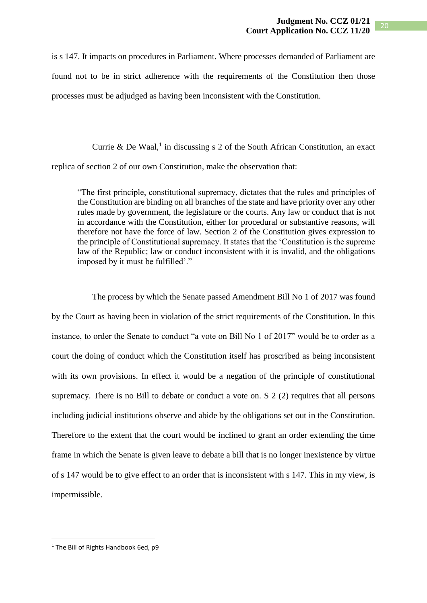is s 147. It impacts on procedures in Parliament. Where processes demanded of Parliament are found not to be in strict adherence with the requirements of the Constitution then those processes must be adjudged as having been inconsistent with the Constitution.

Currie & De Waal,<sup>1</sup> in discussing s 2 of the South African Constitution, an exact replica of section 2 of our own Constitution, make the observation that:

"The first principle, constitutional supremacy, dictates that the rules and principles of the Constitution are binding on all branches of the state and have priority over any other rules made by government, the legislature or the courts. Any law or conduct that is not in accordance with the Constitution, either for procedural or substantive reasons, will therefore not have the force of law. Section 2 of the Constitution gives expression to the principle of Constitutional supremacy. It states that the 'Constitution is the supreme law of the Republic; law or conduct inconsistent with it is invalid, and the obligations imposed by it must be fulfilled'."

The process by which the Senate passed Amendment Bill No 1 of 2017 was found by the Court as having been in violation of the strict requirements of the Constitution. In this instance, to order the Senate to conduct "a vote on Bill No 1 of 2017" would be to order as a court the doing of conduct which the Constitution itself has proscribed as being inconsistent with its own provisions. In effect it would be a negation of the principle of constitutional supremacy. There is no Bill to debate or conduct a vote on. S 2 (2) requires that all persons including judicial institutions observe and abide by the obligations set out in the Constitution. Therefore to the extent that the court would be inclined to grant an order extending the time frame in which the Senate is given leave to debate a bill that is no longer inexistence by virtue of s 147 would be to give effect to an order that is inconsistent with s 147. This in my view, is impermissible.

**.** 

<sup>&</sup>lt;sup>1</sup> The Bill of Rights Handbook 6ed, p9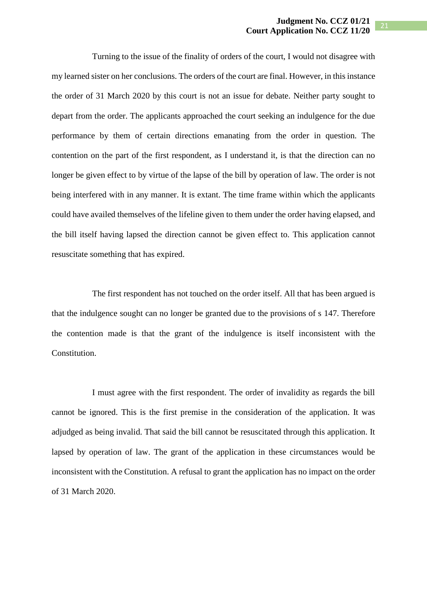Turning to the issue of the finality of orders of the court, I would not disagree with my learned sister on her conclusions. The orders of the court are final. However, in this instance the order of 31 March 2020 by this court is not an issue for debate. Neither party sought to depart from the order. The applicants approached the court seeking an indulgence for the due performance by them of certain directions emanating from the order in question. The contention on the part of the first respondent, as I understand it, is that the direction can no longer be given effect to by virtue of the lapse of the bill by operation of law. The order is not being interfered with in any manner. It is extant. The time frame within which the applicants could have availed themselves of the lifeline given to them under the order having elapsed, and the bill itself having lapsed the direction cannot be given effect to. This application cannot resuscitate something that has expired.

The first respondent has not touched on the order itself. All that has been argued is that the indulgence sought can no longer be granted due to the provisions of s 147. Therefore the contention made is that the grant of the indulgence is itself inconsistent with the Constitution.

I must agree with the first respondent. The order of invalidity as regards the bill cannot be ignored. This is the first premise in the consideration of the application. It was adjudged as being invalid. That said the bill cannot be resuscitated through this application. It lapsed by operation of law. The grant of the application in these circumstances would be inconsistent with the Constitution. A refusal to grant the application has no impact on the order of 31 March 2020.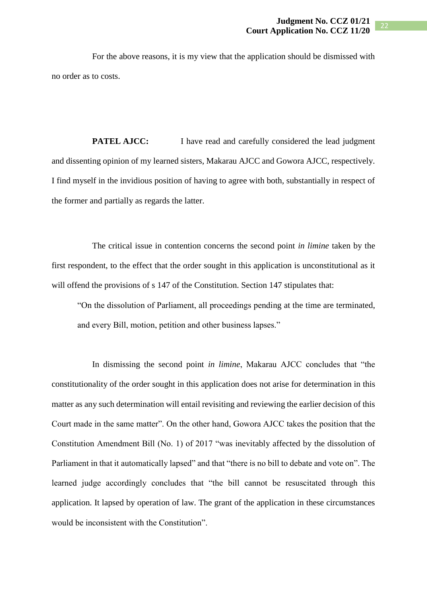For the above reasons, it is my view that the application should be dismissed with no order as to costs.

**PATEL AJCC:** I have read and carefully considered the lead judgment and dissenting opinion of my learned sisters, Makarau AJCC and Gowora AJCC, respectively. I find myself in the invidious position of having to agree with both, substantially in respect of the former and partially as regards the latter.

The critical issue in contention concerns the second point *in limine* taken by the first respondent, to the effect that the order sought in this application is unconstitutional as it will offend the provisions of s 147 of the Constitution. Section 147 stipulates that:

"On the dissolution of Parliament, all proceedings pending at the time are terminated, and every Bill, motion, petition and other business lapses."

In dismissing the second point *in limine*, Makarau AJCC concludes that "the constitutionality of the order sought in this application does not arise for determination in this matter as any such determination will entail revisiting and reviewing the earlier decision of this Court made in the same matter". On the other hand, Gowora AJCC takes the position that the Constitution Amendment Bill (No. 1) of 2017 "was inevitably affected by the dissolution of Parliament in that it automatically lapsed" and that "there is no bill to debate and vote on". The learned judge accordingly concludes that "the bill cannot be resuscitated through this application. It lapsed by operation of law. The grant of the application in these circumstances would be inconsistent with the Constitution".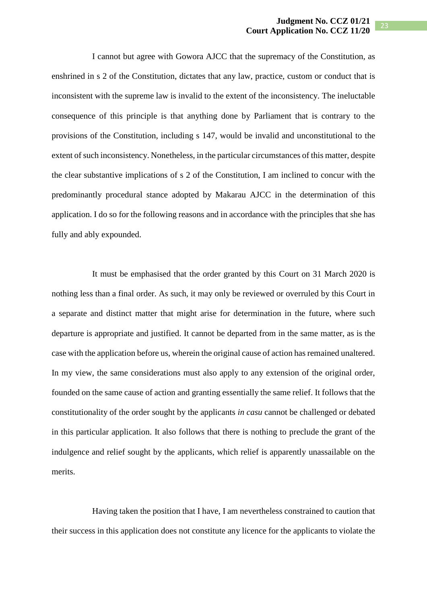I cannot but agree with Gowora AJCC that the supremacy of the Constitution, as enshrined in s 2 of the Constitution, dictates that any law, practice, custom or conduct that is inconsistent with the supreme law is invalid to the extent of the inconsistency. The ineluctable consequence of this principle is that anything done by Parliament that is contrary to the provisions of the Constitution, including s 147, would be invalid and unconstitutional to the extent of such inconsistency. Nonetheless, in the particular circumstances of this matter, despite the clear substantive implications of s 2 of the Constitution, I am inclined to concur with the predominantly procedural stance adopted by Makarau AJCC in the determination of this application. I do so for the following reasons and in accordance with the principles that she has fully and ably expounded.

It must be emphasised that the order granted by this Court on 31 March 2020 is nothing less than a final order. As such, it may only be reviewed or overruled by this Court in a separate and distinct matter that might arise for determination in the future, where such departure is appropriate and justified. It cannot be departed from in the same matter, as is the case with the application before us, wherein the original cause of action has remained unaltered. In my view, the same considerations must also apply to any extension of the original order, founded on the same cause of action and granting essentially the same relief. It follows that the constitutionality of the order sought by the applicants *in casu* cannot be challenged or debated in this particular application. It also follows that there is nothing to preclude the grant of the indulgence and relief sought by the applicants, which relief is apparently unassailable on the merits.

Having taken the position that I have, I am nevertheless constrained to caution that their success in this application does not constitute any licence for the applicants to violate the